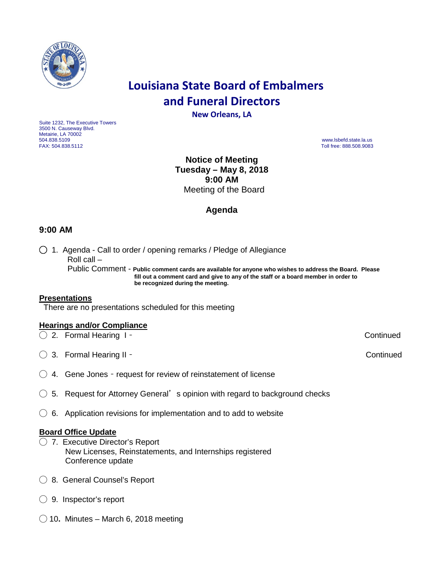

# **Louisiana State Board of Embalmers and Funeral Directors**

**New Orleans, LA**

Suite 1232, The Executive Towers 3500 N. Causeway Blvd. Metairie, LA 70002<br>504.838.5109 504.838.5109 www.lsbefd.state.la.us

Toll free: 888.508.9083

**Notice of Meeting Tuesday – May 8, 2018 9:00 AM**  Meeting of the Board

## **Agenda**

## **9:00 AM**

◯ 1. Agenda - Call to order / opening remarks / Pledge of Allegiance Roll call – Public Comment - **Public comment cards are available for anyone who wishes to address the Board. Please fill out a comment card and give to any of the staff or a board member in order to be recognized during the meeting.**

#### **Presentations**

There are no presentations scheduled for this meeting

### **Hearings and/or Compliance**

◯ 2. Formal Hearing I – Continued

◯ 3. Formal Hearing II – Continued

 $\bigcirc$  4. Gene Jones - request for review of reinstatement of license

- $\bigcirc$  5. Request for Attorney General's opinion with regard to background checks
- $\bigcirc$  6. Application revisions for implementation and to add to website

### **Board Office Update**

- ◯ 7. Executive Director's Report New Licenses, Reinstatements, and Internships registered Conference update
- ◯ 8. General Counsel's Report
- ◯ 9. Inspector's report
- ◯ 10**.** Minutes March 6, 2018 meeting